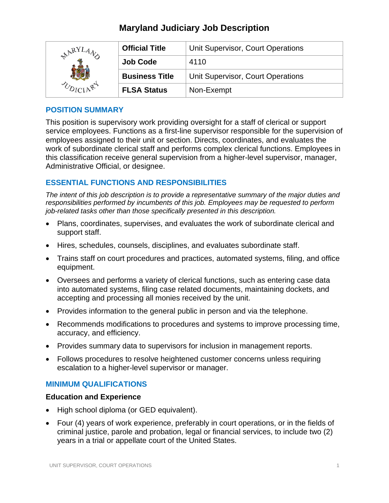# **Maryland Judiciary Job Description**

| ARY' | <b>Official Title</b> | Unit Supervisor, Court Operations |
|------|-----------------------|-----------------------------------|
|      | <b>Job Code</b>       | 4110                              |
|      | <b>Business Title</b> | Unit Supervisor, Court Operations |
|      | <b>FLSA Status</b>    | Non-Exempt                        |

## **POSITION SUMMARY**

This position is supervisory work providing oversight for a staff of clerical or support service employees. Functions as a first-line supervisor responsible for the supervision of employees assigned to their unit or section. Directs, coordinates, and evaluates the work of subordinate clerical staff and performs complex clerical functions. Employees in this classification receive general supervision from a higher-level supervisor, manager, Administrative Official, or designee.

# **ESSENTIAL FUNCTIONS AND RESPONSIBILITIES**

*The intent of this job description is to provide a representative summary of the major duties and responsibilities performed by incumbents of this job. Employees may be requested to perform job-related tasks other than those specifically presented in this description.*

- Plans, coordinates, supervises, and evaluates the work of subordinate clerical and support staff.
- Hires, schedules, counsels, disciplines, and evaluates subordinate staff.
- Trains staff on court procedures and practices, automated systems, filing, and office equipment.
- Oversees and performs a variety of clerical functions, such as entering case data into automated systems, filing case related documents, maintaining dockets, and accepting and processing all monies received by the unit.
- Provides information to the general public in person and via the telephone.
- Recommends modifications to procedures and systems to improve processing time, accuracy, and efficiency.
- Provides summary data to supervisors for inclusion in management reports.
- Follows procedures to resolve heightened customer concerns unless requiring escalation to a higher-level supervisor or manager.

#### **MINIMUM QUALIFICATIONS**

#### **Education and Experience**

- High school diploma (or GED equivalent).
- Four (4) years of work experience, preferably in court operations, or in the fields of criminal justice, parole and probation, legal or financial services, to include two (2) years in a trial or appellate court of the United States.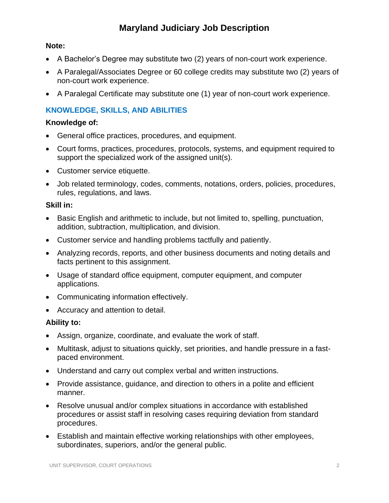# **Maryland Judiciary Job Description**

### **Note:**

- A Bachelor's Degree may substitute two (2) years of non-court work experience.
- A Paralegal/Associates Degree or 60 college credits may substitute two (2) years of non-court work experience.
- A Paralegal Certificate may substitute one (1) year of non-court work experience.

# **KNOWLEDGE, SKILLS, AND ABILITIES**

#### **Knowledge of:**

- General office practices, procedures, and equipment.
- Court forms, practices, procedures, protocols, systems, and equipment required to support the specialized work of the assigned unit(s).
- Customer service etiquette.
- Job related terminology, codes, comments, notations, orders, policies, procedures, rules, regulations, and laws.

#### **Skill in:**

- Basic English and arithmetic to include, but not limited to, spelling, punctuation, addition, subtraction, multiplication, and division.
- Customer service and handling problems tactfully and patiently.
- Analyzing records, reports, and other business documents and noting details and facts pertinent to this assignment.
- Usage of standard office equipment, computer equipment, and computer applications.
- Communicating information effectively.
- Accuracy and attention to detail.

#### **Ability to:**

- Assign, organize, coordinate, and evaluate the work of staff.
- Multitask, adjust to situations quickly, set priorities, and handle pressure in a fastpaced environment.
- Understand and carry out complex verbal and written instructions.
- Provide assistance, guidance, and direction to others in a polite and efficient manner.
- Resolve unusual and/or complex situations in accordance with established procedures or assist staff in resolving cases requiring deviation from standard procedures.
- Establish and maintain effective working relationships with other employees, subordinates, superiors, and/or the general public.